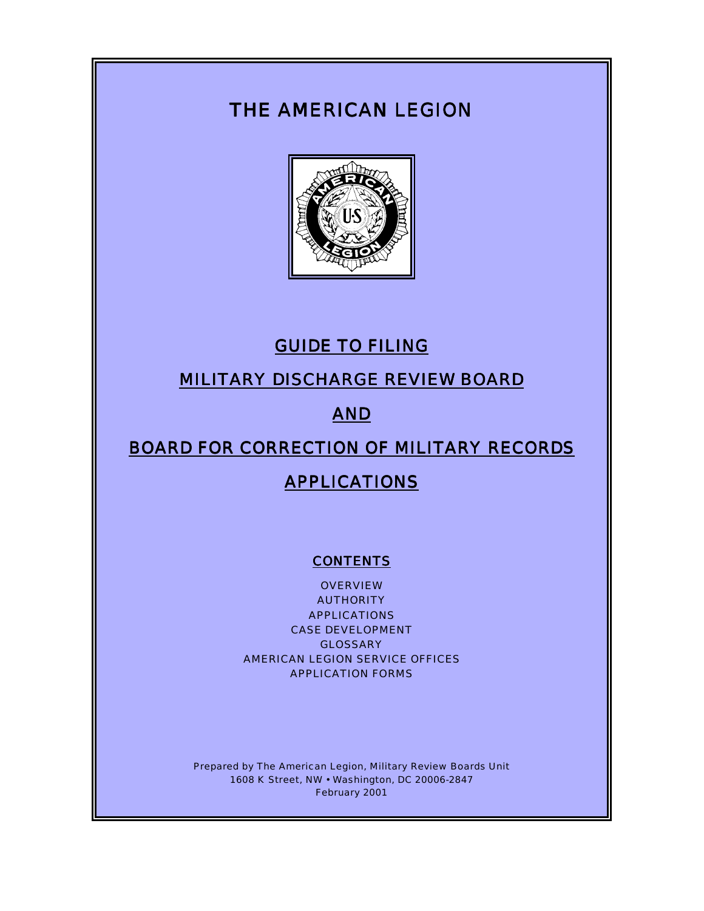# THE AMERICAN LEGION



# GUIDE TO FILING

# MILITARY DISCHARGE REVIEW BOARD

# AND

# BOARD FOR CORRECTION OF MILITARY RECORDS

# **APPLICATIONS**

## **CONTENTS**

**OVERVIEW** AUTHORITY APPLICATIONS CASE DEVELOPMENT GLOSSARY AMERICAN LEGION SERVICE OFFICES APPLICATION FORMS

Prepared by The American Legion, Military Review Boards Unit 1608 K Street, NW • Washington, DC 20006-2847 February 2001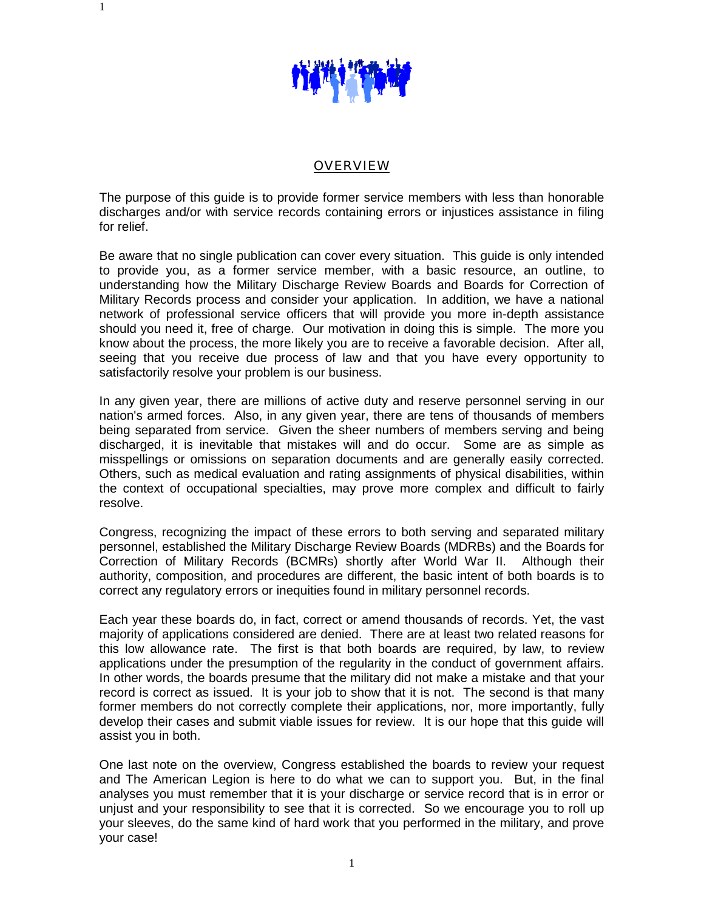

1

#### OVERVIEW

The purpose of this guide is to provide former service members with less than honorable discharges and/or with service records containing errors or injustices assistance in filing for relief.

Be aware that no single publication can cover every situation. This guide is only intended to provide you, as a former service member, with a basic resource, an outline, to understanding how the Military Discharge Review Boards and Boards for Correction of Military Records process and consider your application. In addition, we have a national network of professional service officers that will provide you more in-depth assistance should you need it, free of charge. Our motivation in doing this is simple. The more you know about the process, the more likely you are to receive a favorable decision. After all, seeing that you receive due process of law and that you have every opportunity to satisfactorily resolve your problem is our business.

In any given year, there are millions of active duty and reserve personnel serving in our nation's armed forces. Also, in any given year, there are tens of thousands of members being separated from service. Given the sheer numbers of members serving and being discharged, it is inevitable that mistakes will and do occur. Some are as simple as misspellings or omissions on separation documents and are generally easily corrected. Others, such as medical evaluation and rating assignments of physical disabilities, within the context of occupational specialties, may prove more complex and difficult to fairly resolve.

Congress, recognizing the impact of these errors to both serving and separated military personnel, established the Military Discharge Review Boards (MDRBs) and the Boards for Correction of Military Records (BCMRs) shortly after World War II. Although their authority, composition, and procedures are different, the basic intent of both boards is to correct any regulatory errors or inequities found in military personnel records.

Each year these boards do, in fact, correct or amend thousands of records. Yet, the vast majority of applications considered are denied. There are at least two related reasons for this low allowance rate. The first is that both boards are required, by law, to review applications under the presumption of the regularity in the conduct of government affairs. In other words, the boards presume that the military did not make a mistake and that your record is correct as issued. It is your job to show that it is not. The second is that many former members do not correctly complete their applications, nor, more importantly, fully develop their cases and submit viable issues for review. It is our hope that this guide will assist you in both.

One last note on the overview, Congress established the boards to review your request and The American Legion is here to do what we can to support you. But, in the final analyses you must remember that it is your discharge or service record that is in error or unjust and your responsibility to see that it is corrected. So we encourage you to roll up your sleeves, do the same kind of hard work that you performed in the military, and prove your case!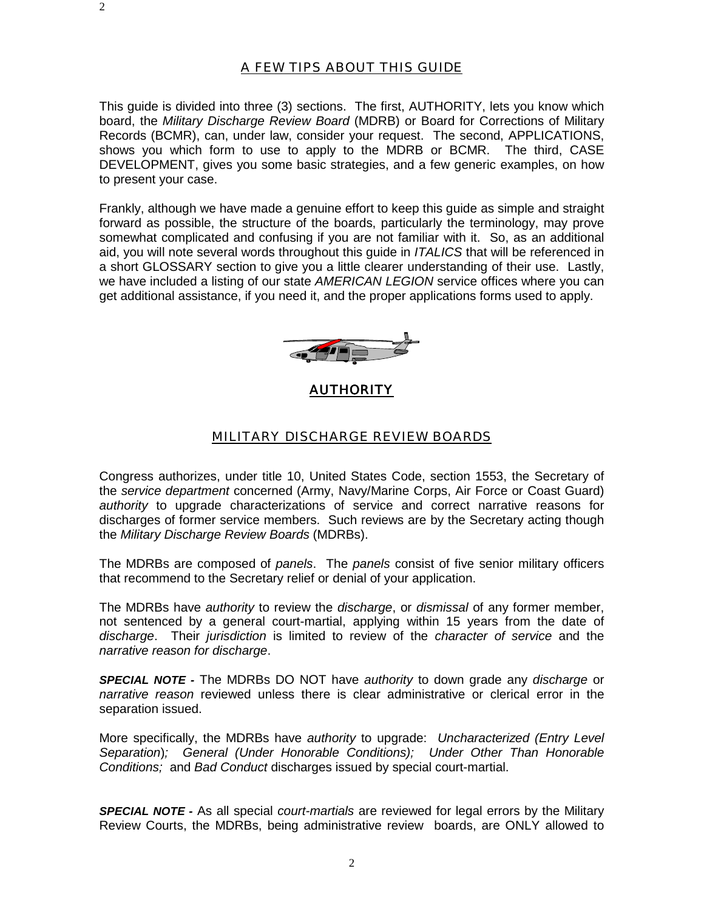This guide is divided into three (3) sections. The first, AUTHORITY, lets you know which board, the *Military Discharge Review Board* (MDRB) or Board for Corrections of Military Records (BCMR), can, under law, consider your request. The second, APPLICATIONS, shows you which form to use to apply to the MDRB or BCMR. The third, CASE DEVELOPMENT, gives you some basic strategies, and a few generic examples, on how to present your case.

Frankly, although we have made a genuine effort to keep this guide as simple and straight forward as possible, the structure of the boards, particularly the terminology, may prove somewhat complicated and confusing if you are not familiar with it. So, as an additional aid, you will note several words throughout this guide in *ITALICS* that will be referenced in a short GLOSSARY section to give you a little clearer understanding of their use. Lastly, we have included a listing of our state *AMERICAN LEGION* service offices where you can get additional assistance, if you need it, and the proper applications forms used to apply.



AUTHORITY

#### MILITARY DISCHARGE REVIEW BOARDS

Congress authorizes, under title 10, United States Code, section 1553, the Secretary of the *service department* concerned (Army, Navy/Marine Corps, Air Force or Coast Guard) *authority* to upgrade characterizations of service and correct narrative reasons for discharges of former service members. Such reviews are by the Secretary acting though the *Military Discharge Review Boards* (MDRBs).

The MDRBs are composed of *panels*. The *panels* consist of five senior military officers that recommend to the Secretary relief or denial of your application.

The MDRBs have *authority* to review the *discharge*, or *dismissal* of any former member, not sentenced by a general court-martial, applying within 15 years from the date of *discharge*. Their *jurisdiction* is limited to review of the *character of service* and the *narrative reason for discharge*.

*SPECIAL NOTE -* The MDRBs DO NOT have *authority* to down grade any *discharge* or *narrative reason* reviewed unless there is clear administrative or clerical error in the separation issued.

More specifically, the MDRBs have *authority* to upgrade: *Uncharacterized (Entry Level Separation*)*; General (Under Honorable Conditions); Under Other Than Honorable Conditions;* and *Bad Conduct* discharges issued by special court-martial.

*SPECIAL NOTE -* As all special *court-martials* are reviewed for legal errors by the Military Review Courts, the MDRBs, being administrative review boards, are ONLY allowed to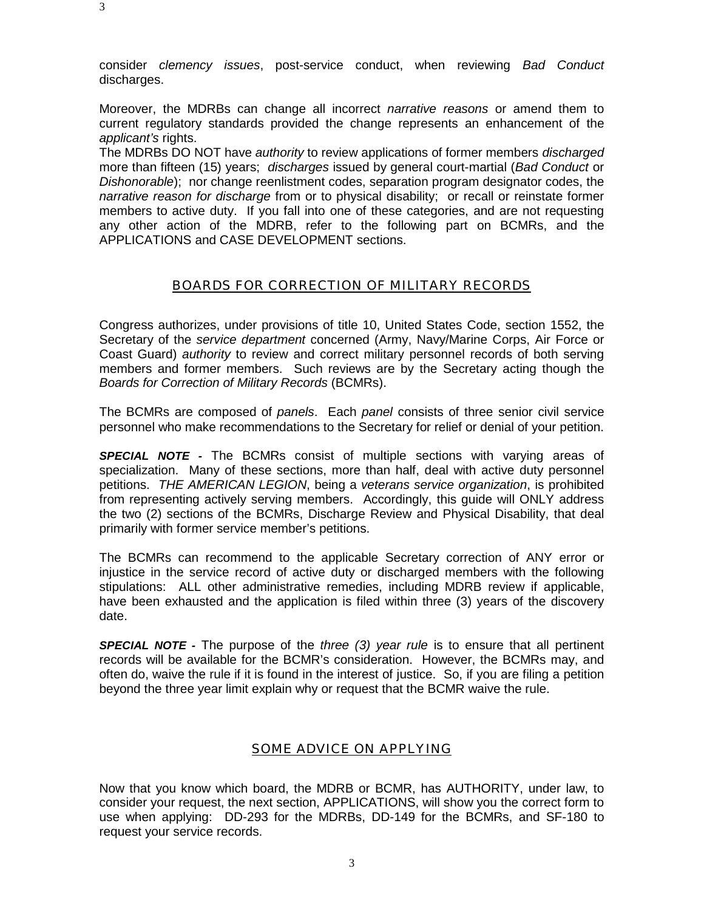3

consider *clemency issues*, post-service conduct, when reviewing *Bad Conduct* discharges.

Moreover, the MDRBs can change all incorrect *narrative reasons* or amend them to current regulatory standards provided the change represents an enhancement of the *applicant's* rights.

The MDRBs DO NOT have *authority* to review applications of former members *discharged* more than fifteen (15) years; *discharges* issued by general court-martial (*Bad Conduct* or *Dishonorable*); nor change reenlistment codes, separation program designator codes, the *narrative reason for discharge* from or to physical disability; or recall or reinstate former members to active duty. If you fall into one of these categories, and are not requesting any other action of the MDRB, refer to the following part on BCMRs, and the APPLICATIONS and CASE DEVELOPMENT sections.

#### BOARDS FOR CORRECTION OF MILITARY RECORDS

Congress authorizes, under provisions of title 10, United States Code, section 1552, the Secretary of the *service department* concerned (Army, Navy/Marine Corps, Air Force or Coast Guard) *authority* to review and correct military personnel records of both serving members and former members. Such reviews are by the Secretary acting though the *Boards for Correction of Military Records* (BCMRs).

The BCMRs are composed of *panels*. Each *panel* consists of three senior civil service personnel who make recommendations to the Secretary for relief or denial of your petition.

*SPECIAL NOTE -* The BCMRs consist of multiple sections with varying areas of specialization. Many of these sections, more than half, deal with active duty personnel petitions. *THE AMERICAN LEGION*, being a *veterans service organization*, is prohibited from representing actively serving members. Accordingly, this guide will ONLY address the two (2) sections of the BCMRs, Discharge Review and Physical Disability, that deal primarily with former service member's petitions.

The BCMRs can recommend to the applicable Secretary correction of ANY error or injustice in the service record of active duty or discharged members with the following stipulations: ALL other administrative remedies, including MDRB review if applicable, have been exhausted and the application is filed within three (3) years of the discovery date.

*SPECIAL NOTE -* The purpose of the *three (3) year rule* is to ensure that all pertinent records will be available for the BCMR's consideration. However, the BCMRs may, and often do, waive the rule if it is found in the interest of justice. So, if you are filing a petition beyond the three year limit explain why or request that the BCMR waive the rule.

#### SOME ADVICE ON APPLYING

Now that you know which board, the MDRB or BCMR, has AUTHORITY, under law, to consider your request, the next section, APPLICATIONS, will show you the correct form to use when applying: DD-293 for the MDRBs, DD-149 for the BCMRs, and SF-180 to request your service records.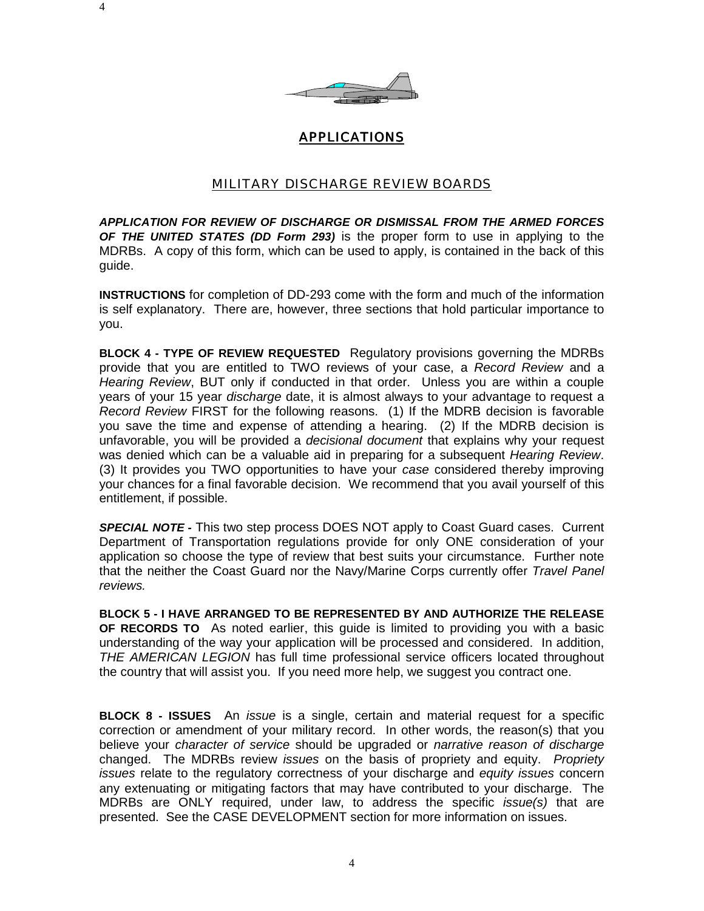

## APPLICATIONS

#### MILITARY DISCHARGE REVIEW BOARDS

*APPLICATION FOR REVIEW OF DISCHARGE OR DISMISSAL FROM THE ARMED FORCES OF THE UNITED STATES (DD Form 293)* is the proper form to use in applying to the MDRBs. A copy of this form, which can be used to apply, is contained in the back of this guide.

**INSTRUCTIONS** for completion of DD-293 come with the form and much of the information is self explanatory. There are, however, three sections that hold particular importance to you.

**BLOCK 4 - TYPE OF REVIEW REQUESTED** Regulatory provisions governing the MDRBs provide that you are entitled to TWO reviews of your case, a *Record Review* and a *Hearing Review*, BUT only if conducted in that order. Unless you are within a couple years of your 15 year *discharge* date, it is almost always to your advantage to request a *Record Review* FIRST for the following reasons. (1) If the MDRB decision is favorable you save the time and expense of attending a hearing. (2) If the MDRB decision is unfavorable, you will be provided a *decisional document* that explains why your request was denied which can be a valuable aid in preparing for a subsequent *Hearing Review*. (3) It provides you TWO opportunities to have your *case* considered thereby improving your chances for a final favorable decision. We recommend that you avail yourself of this entitlement, if possible.

*SPECIAL NOTE -* This two step process DOES NOT apply to Coast Guard cases. Current Department of Transportation regulations provide for only ONE consideration of your application so choose the type of review that best suits your circumstance. Further note that the neither the Coast Guard nor the Navy/Marine Corps currently offer *Travel Panel reviews.*

**BLOCK 5 - I HAVE ARRANGED TO BE REPRESENTED BY AND AUTHORIZE THE RELEASE OF RECORDS TO** As noted earlier, this guide is limited to providing you with a basic understanding of the way your application will be processed and considered. In addition, *THE AMERICAN LEGION* has full time professional service officers located throughout the country that will assist you. If you need more help, we suggest you contract one.

**BLOCK 8 - ISSUES** An *issue* is a single, certain and material request for a specific correction or amendment of your military record. In other words, the reason(s) that you believe your *character of service* should be upgraded or *narrative reason of discharge* changed. The MDRBs review *issues* on the basis of propriety and equity. *Propriety issues* relate to the regulatory correctness of your discharge and *equity issues* concern any extenuating or mitigating factors that may have contributed to your discharge. The MDRBs are ONLY required, under law, to address the specific *issue(s)* that are presented. See the CASE DEVELOPMENT section for more information on issues.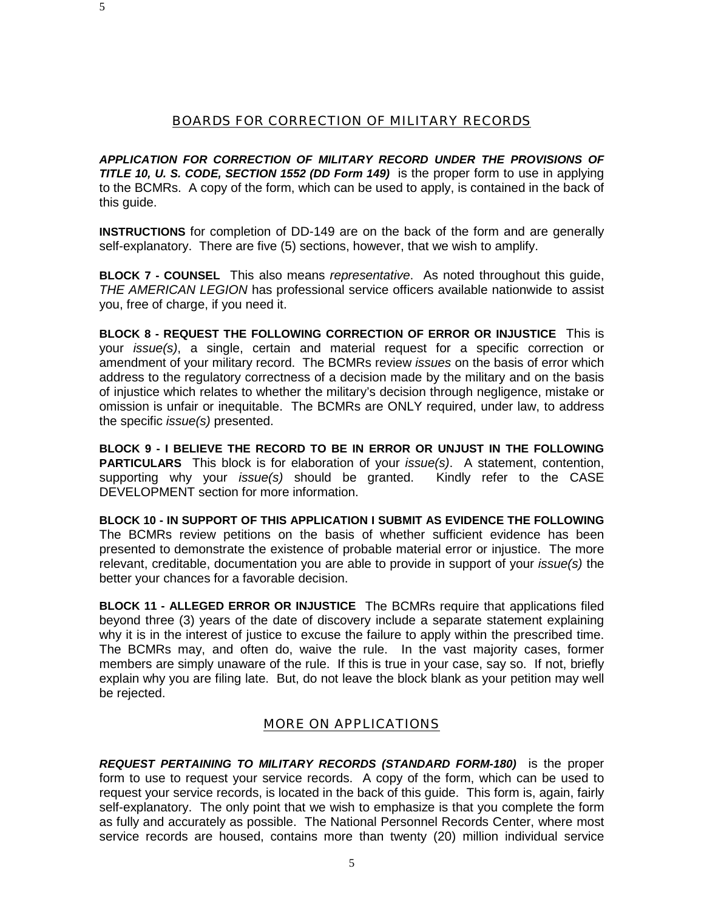#### BOARDS FOR CORRECTION OF MILITARY RECORDS

*APPLICATION FOR CORRECTION OF MILITARY RECORD UNDER THE PROVISIONS OF TITLE 10, U. S. CODE, SECTION 1552 (DD Form 149)*is the proper form to use in applying to the BCMRs. A copy of the form, which can be used to apply, is contained in the back of this guide.

**INSTRUCTIONS** for completion of DD-149 are on the back of the form and are generally self-explanatory. There are five (5) sections, however, that we wish to amplify.

**BLOCK 7 - COUNSEL** This also means *representative*. As noted throughout this guide, *THE AMERICAN LEGION* has professional service officers available nationwide to assist you, free of charge, if you need it.

**BLOCK 8 - REQUEST THE FOLLOWING CORRECTION OF ERROR OR INJUSTICE** This is your *issue(s)*, a single, certain and material request for a specific correction or amendment of your military record. The BCMRs review *issues* on the basis of error which address to the regulatory correctness of a decision made by the military and on the basis of injustice which relates to whether the military's decision through negligence, mistake or omission is unfair or inequitable. The BCMRs are ONLY required, under law, to address the specific *issue(s)* presented.

**BLOCK 9 - I BELIEVE THE RECORD TO BE IN ERROR OR UNJUST IN THE FOLLOWING PARTICULARS** This block is for elaboration of your *issue(s)*. A statement, contention, supporting why your *issue(s)* should be granted. Kindly refer to the CASE DEVELOPMENT section for more information.

**BLOCK 10 - IN SUPPORT OF THIS APPLICATION I SUBMIT AS EVIDENCE THE FOLLOWING** The BCMRs review petitions on the basis of whether sufficient evidence has been presented to demonstrate the existence of probable material error or injustice. The more relevant, creditable, documentation you are able to provide in support of your *issue(s)* the better your chances for a favorable decision.

**BLOCK 11 - ALLEGED ERROR OR INJUSTICE** The BCMRs require that applications filed beyond three (3) years of the date of discovery include a separate statement explaining why it is in the interest of justice to excuse the failure to apply within the prescribed time. The BCMRs may, and often do, waive the rule. In the vast majority cases, former members are simply unaware of the rule. If this is true in your case, say so. If not, briefly explain why you are filing late. But, do not leave the block blank as your petition may well be rejected.

#### MORE ON APPLICATIONS

*REQUEST PERTAINING TO MILITARY RECORDS (STANDARD FORM-180)* is the proper form to use to request your service records. A copy of the form, which can be used to request your service records, is located in the back of this guide. This form is, again, fairly self-explanatory. The only point that we wish to emphasize is that you complete the form as fully and accurately as possible. The National Personnel Records Center, where most service records are housed, contains more than twenty (20) million individual service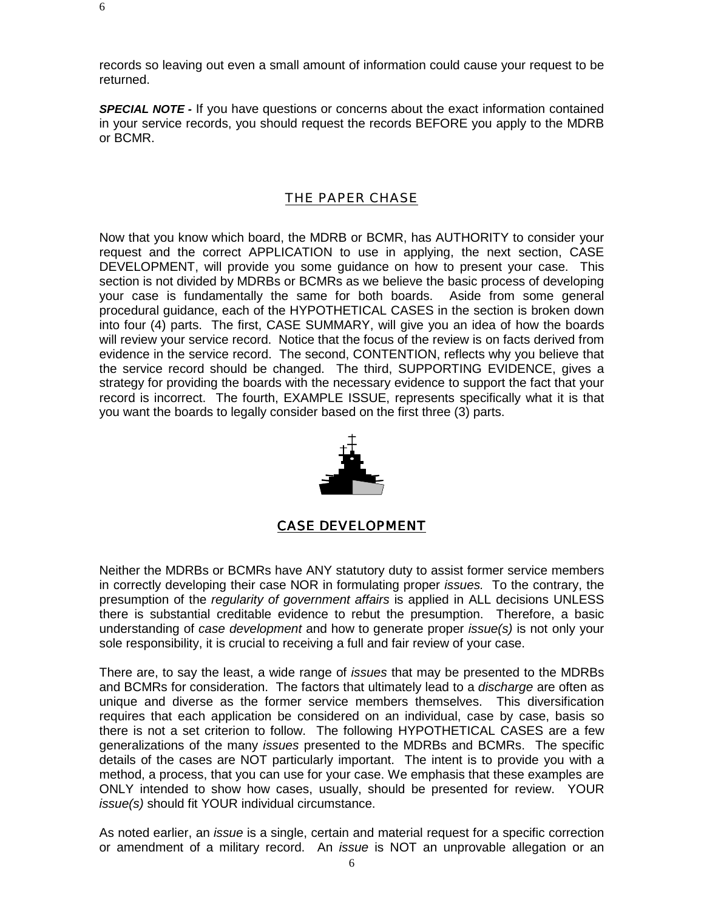records so leaving out even a small amount of information could cause your request to be returned.

*SPECIAL NOTE -* If you have questions or concerns about the exact information contained in your service records, you should request the records BEFORE you apply to the MDRB or BCMR.

#### THE PAPER CHASE

Now that you know which board, the MDRB or BCMR, has AUTHORITY to consider your request and the correct APPLICATION to use in applying, the next section, CASE DEVELOPMENT, will provide you some guidance on how to present your case. This section is not divided by MDRBs or BCMRs as we believe the basic process of developing your case is fundamentally the same for both boards. Aside from some general procedural guidance, each of the HYPOTHETICAL CASES in the section is broken down into four (4) parts. The first, CASE SUMMARY, will give you an idea of how the boards will review your service record. Notice that the focus of the review is on facts derived from evidence in the service record. The second, CONTENTION, reflects why you believe that the service record should be changed. The third, SUPPORTING EVIDENCE, gives a strategy for providing the boards with the necessary evidence to support the fact that your record is incorrect. The fourth, EXAMPLE ISSUE, represents specifically what it is that you want the boards to legally consider based on the first three (3) parts.



#### CASE DEVELOPMENT

Neither the MDRBs or BCMRs have ANY statutory duty to assist former service members in correctly developing their case NOR in formulating proper *issues.* To the contrary, the presumption of the *regularity of government affairs* is applied in ALL decisions UNLESS there is substantial creditable evidence to rebut the presumption. Therefore, a basic understanding of *case development* and how to generate proper *issue(s)* is not only your sole responsibility, it is crucial to receiving a full and fair review of your case.

There are, to say the least, a wide range of *issues* that may be presented to the MDRBs and BCMRs for consideration. The factors that ultimately lead to a *discharge* are often as unique and diverse as the former service members themselves. This diversification requires that each application be considered on an individual, case by case, basis so there is not a set criterion to follow. The following HYPOTHETICAL CASES are a few generalizations of the many *issues* presented to the MDRBs and BCMRs. The specific details of the cases are NOT particularly important. The intent is to provide you with a method, a process, that you can use for your case. We emphasis that these examples are ONLY intended to show how cases, usually, should be presented for review. YOUR *issue(s)* should fit YOUR individual circumstance.

As noted earlier, an *issue* is a single, certain and material request for a specific correction or amendment of a military record. An *issue* is NOT an unprovable allegation or an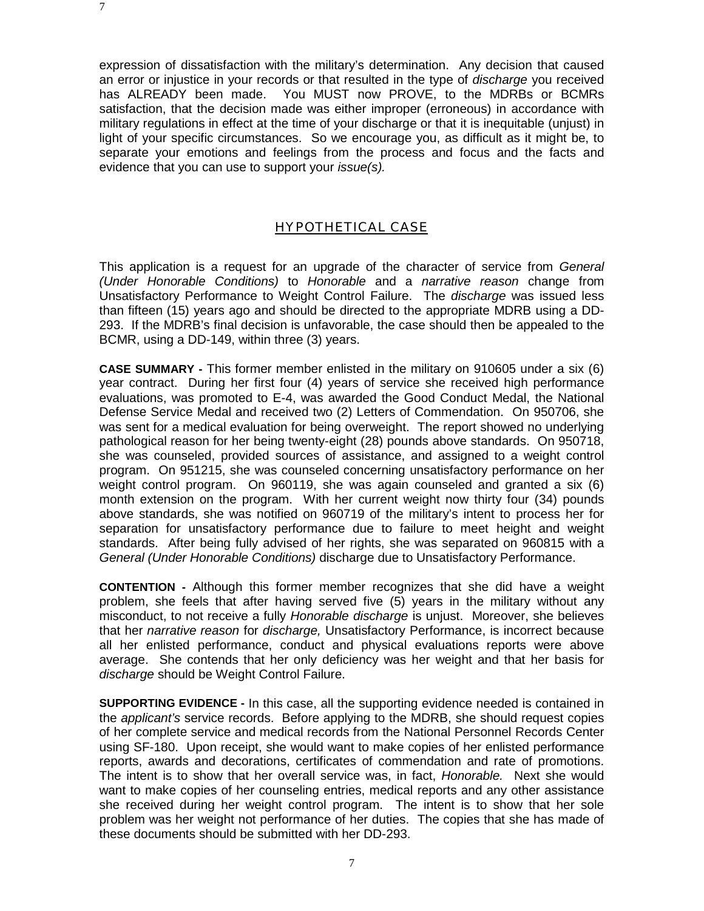expression of dissatisfaction with the military's determination. Any decision that caused an error or injustice in your records or that resulted in the type of *discharge* you received has ALREADY been made. You MUST now PROVE, to the MDRBs or BCMRs satisfaction, that the decision made was either improper (erroneous) in accordance with military regulations in effect at the time of your discharge or that it is inequitable (unjust) in light of your specific circumstances. So we encourage you, as difficult as it might be, to separate your emotions and feelings from the process and focus and the facts and evidence that you can use to support your *issue(s).*

#### HYPOTHETICAL CASE

This application is a request for an upgrade of the character of service from *General (Under Honorable Conditions)* to *Honorable* and a *narrative reason* change from Unsatisfactory Performance to Weight Control Failure. The *discharge* was issued less than fifteen (15) years ago and should be directed to the appropriate MDRB using a DD-293. If the MDRB's final decision is unfavorable, the case should then be appealed to the BCMR, using a DD-149, within three (3) years.

**CASE SUMMARY -** This former member enlisted in the military on 910605 under a six (6) year contract. During her first four (4) years of service she received high performance evaluations, was promoted to E-4, was awarded the Good Conduct Medal, the National Defense Service Medal and received two (2) Letters of Commendation. On 950706, she was sent for a medical evaluation for being overweight. The report showed no underlying pathological reason for her being twenty-eight (28) pounds above standards. On 950718, she was counseled, provided sources of assistance, and assigned to a weight control program. On 951215, she was counseled concerning unsatisfactory performance on her weight control program. On 960119, she was again counseled and granted a six (6) month extension on the program. With her current weight now thirty four (34) pounds above standards, she was notified on 960719 of the military's intent to process her for separation for unsatisfactory performance due to failure to meet height and weight standards. After being fully advised of her rights, she was separated on 960815 with a *General (Under Honorable Conditions)* discharge due to Unsatisfactory Performance.

**CONTENTION -** Although this former member recognizes that she did have a weight problem, she feels that after having served five (5) years in the military without any misconduct, to not receive a fully *Honorable discharge* is unjust. Moreover, she believes that her *narrative reason* for *discharge,* Unsatisfactory Performance, is incorrect because all her enlisted performance, conduct and physical evaluations reports were above average. She contends that her only deficiency was her weight and that her basis for *discharge* should be Weight Control Failure.

**SUPPORTING EVIDENCE -** In this case, all the supporting evidence needed is contained in the *applicant's* service records. Before applying to the MDRB, she should request copies of her complete service and medical records from the National Personnel Records Center using SF-180. Upon receipt, she would want to make copies of her enlisted performance reports, awards and decorations, certificates of commendation and rate of promotions. The intent is to show that her overall service was, in fact, *Honorable.* Next she would want to make copies of her counseling entries, medical reports and any other assistance she received during her weight control program. The intent is to show that her sole problem was her weight not performance of her duties. The copies that she has made of these documents should be submitted with her DD-293.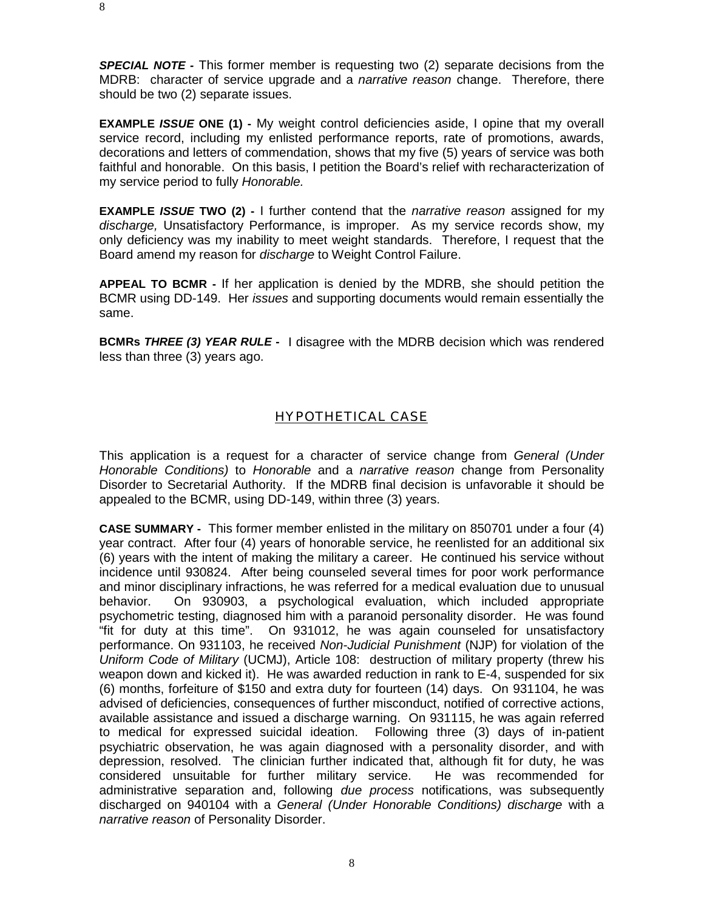*SPECIAL NOTE -* This former member is requesting two (2) separate decisions from the MDRB: character of service upgrade and a *narrative reason* change. Therefore, there should be two (2) separate issues.

**EXAMPLE** *ISSUE* **ONE (1) -** My weight control deficiencies aside, I opine that my overall service record, including my enlisted performance reports, rate of promotions, awards, decorations and letters of commendation, shows that my five (5) years of service was both faithful and honorable. On this basis, I petition the Board's relief with recharacterization of my service period to fully *Honorable.*

**EXAMPLE** *ISSUE* **TWO (2) -** I further contend that the *narrative reason* assigned for my *discharge,* Unsatisfactory Performance, is improper. As my service records show, my only deficiency was my inability to meet weight standards. Therefore, I request that the Board amend my reason for *discharge* to Weight Control Failure.

**APPEAL TO BCMR -** If her application is denied by the MDRB, she should petition the BCMR using DD-149. Her *issues* and supporting documents would remain essentially the same.

**BCMRs** *THREE (3) YEAR RULE* **-** I disagree with the MDRB decision which was rendered less than three (3) years ago.

## HYPOTHETICAL CASE

This application is a request for a character of service change from *General (Under Honorable Conditions)* to *Honorable* and a *narrative reason* change from Personality Disorder to Secretarial Authority. If the MDRB final decision is unfavorable it should be appealed to the BCMR, using DD-149, within three (3) years.

**CASE SUMMARY -** This former member enlisted in the military on 850701 under a four (4) year contract. After four (4) years of honorable service, he reenlisted for an additional six (6) years with the intent of making the military a career. He continued his service without incidence until 930824. After being counseled several times for poor work performance and minor disciplinary infractions, he was referred for a medical evaluation due to unusual behavior. On 930903, a psychological evaluation, which included appropriate psychometric testing, diagnosed him with a paranoid personality disorder. He was found "fit for duty at this time". On 931012, he was again counseled for unsatisfactory performance. On 931103, he received *Non-Judicial Punishment* (NJP) for violation of the *Uniform Code of Military* (UCMJ), Article 108: destruction of military property (threw his weapon down and kicked it). He was awarded reduction in rank to E-4, suspended for six (6) months, forfeiture of \$150 and extra duty for fourteen (14) days. On 931104, he was advised of deficiencies, consequences of further misconduct, notified of corrective actions, available assistance and issued a discharge warning. On 931115, he was again referred to medical for expressed suicidal ideation. Following three (3) days of in-patient psychiatric observation, he was again diagnosed with a personality disorder, and with depression, resolved. The clinician further indicated that, although fit for duty, he was considered unsuitable for further military service. He was recommended for administrative separation and, following *due process* notifications, was subsequently discharged on 940104 with a *General (Under Honorable Conditions) discharge* with a *narrative reason* of Personality Disorder.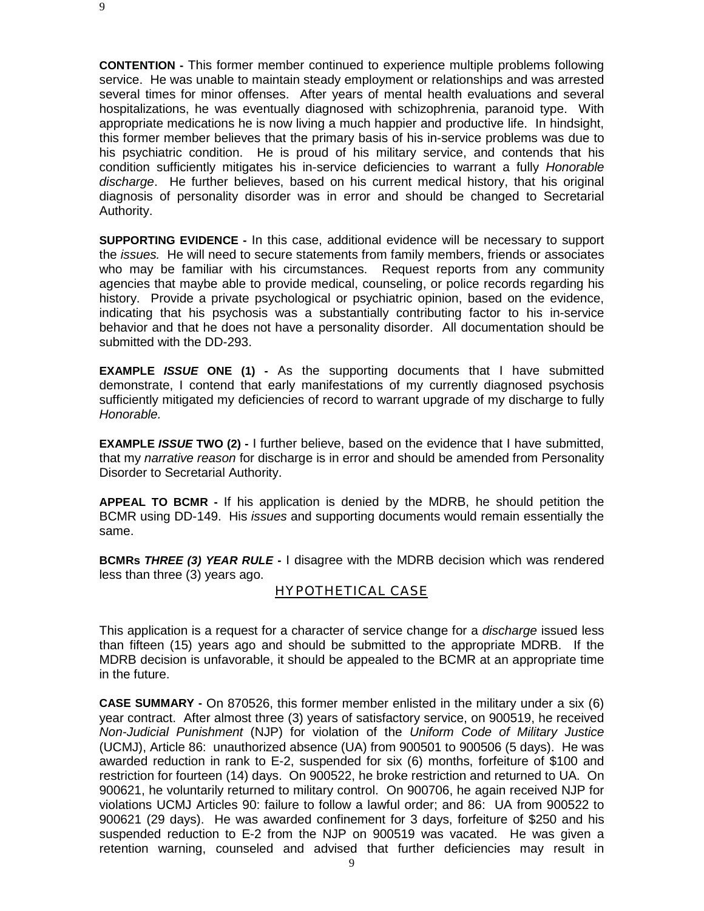9

**CONTENTION -** This former member continued to experience multiple problems following service. He was unable to maintain steady employment or relationships and was arrested several times for minor offenses. After years of mental health evaluations and several hospitalizations, he was eventually diagnosed with schizophrenia, paranoid type. With appropriate medications he is now living a much happier and productive life. In hindsight, this former member believes that the primary basis of his in-service problems was due to his psychiatric condition. He is proud of his military service, and contends that his condition sufficiently mitigates his in-service deficiencies to warrant a fully *Honorable discharge*. He further believes, based on his current medical history, that his original diagnosis of personality disorder was in error and should be changed to Secretarial Authority.

**SUPPORTING EVIDENCE -** In this case, additional evidence will be necessary to support the *issues.* He will need to secure statements from family members, friends or associates who may be familiar with his circumstances. Request reports from any community agencies that maybe able to provide medical, counseling, or police records regarding his history. Provide a private psychological or psychiatric opinion, based on the evidence, indicating that his psychosis was a substantially contributing factor to his in-service behavior and that he does not have a personality disorder. All documentation should be submitted with the DD-293.

**EXAMPLE** *ISSUE* **ONE (1) -** As the supporting documents that I have submitted demonstrate, I contend that early manifestations of my currently diagnosed psychosis sufficiently mitigated my deficiencies of record to warrant upgrade of my discharge to fully *Honorable.*

**EXAMPLE** *ISSUE* TWO (2) - I further believe, based on the evidence that I have submitted. that my *narrative reason* for discharge is in error and should be amended from Personality Disorder to Secretarial Authority.

**APPEAL TO BCMR -** If his application is denied by the MDRB, he should petition the BCMR using DD-149. His *issues* and supporting documents would remain essentially the same.

**BCMRs** *THREE (3) YEAR RULE* **-** I disagree with the MDRB decision which was rendered less than three (3) years ago.

#### HYPOTHETICAL CASE

This application is a request for a character of service change for a *discharge* issued less than fifteen (15) years ago and should be submitted to the appropriate MDRB. If the MDRB decision is unfavorable, it should be appealed to the BCMR at an appropriate time in the future.

**CASE SUMMARY -** On 870526, this former member enlisted in the military under a six (6) year contract. After almost three (3) years of satisfactory service, on 900519, he received *Non-Judicial Punishment* (NJP) for violation of the *Uniform Code of Military Justice* (UCMJ), Article 86: unauthorized absence (UA) from 900501 to 900506 (5 days). He was awarded reduction in rank to E-2, suspended for six (6) months, forfeiture of \$100 and restriction for fourteen (14) days. On 900522, he broke restriction and returned to UA. On 900621, he voluntarily returned to military control. On 900706, he again received NJP for violations UCMJ Articles 90: failure to follow a lawful order; and 86: UA from 900522 to 900621 (29 days). He was awarded confinement for 3 days, forfeiture of \$250 and his suspended reduction to E-2 from the NJP on 900519 was vacated. He was given a retention warning, counseled and advised that further deficiencies may result in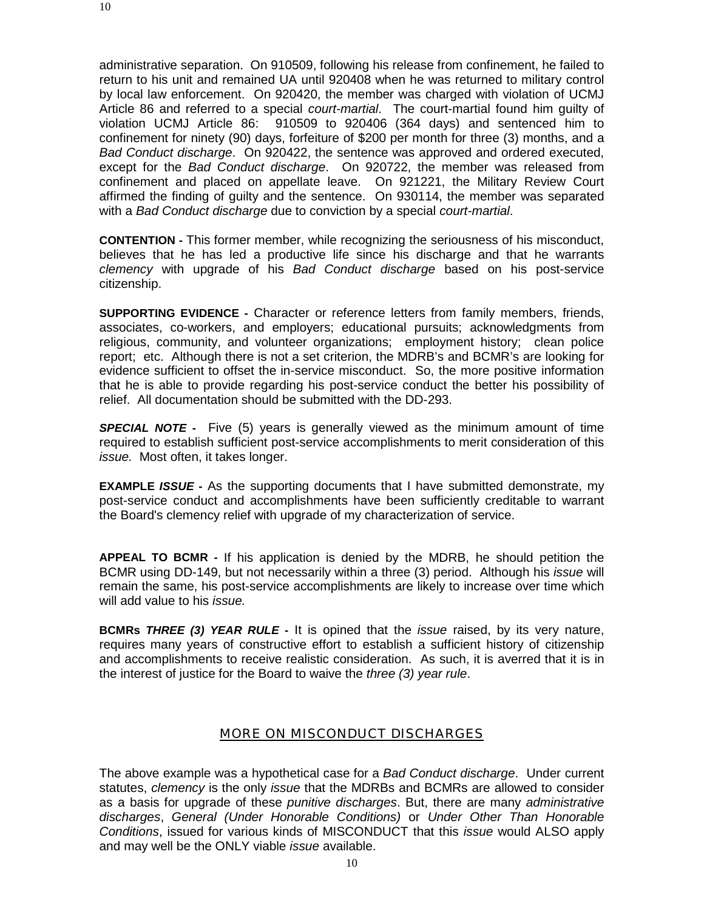administrative separation. On 910509, following his release from confinement, he failed to return to his unit and remained UA until 920408 when he was returned to military control by local law enforcement. On 920420, the member was charged with violation of UCMJ Article 86 and referred to a special *court-martial*. The court-martial found him guilty of violation UCMJ Article 86: 910509 to 920406 (364 days) and sentenced him to confinement for ninety (90) days, forfeiture of \$200 per month for three (3) months, and a *Bad Conduct discharge*. On 920422, the sentence was approved and ordered executed, except for the *Bad Conduct discharge*. On 920722, the member was released from confinement and placed on appellate leave. On 921221, the Military Review Court affirmed the finding of guilty and the sentence. On 930114, the member was separated with a *Bad Conduct discharge* due to conviction by a special *court-martial*.

**CONTENTION -** This former member, while recognizing the seriousness of his misconduct, believes that he has led a productive life since his discharge and that he warrants *clemency* with upgrade of his *Bad Conduct discharge* based on his post-service citizenship.

**SUPPORTING EVIDENCE -** Character or reference letters from family members, friends, associates, co-workers, and employers; educational pursuits; acknowledgments from religious, community, and volunteer organizations; employment history; clean police report; etc. Although there is not a set criterion, the MDRB's and BCMR's are looking for evidence sufficient to offset the in-service misconduct. So, the more positive information that he is able to provide regarding his post-service conduct the better his possibility of relief. All documentation should be submitted with the DD-293.

*SPECIAL NOTE -* Five (5) years is generally viewed as the minimum amount of time required to establish sufficient post-service accomplishments to merit consideration of this *issue.* Most often, it takes longer.

**EXAMPLE** *ISSUE* - As the supporting documents that I have submitted demonstrate, my post-service conduct and accomplishments have been sufficiently creditable to warrant the Board's clemency relief with upgrade of my characterization of service.

**APPEAL TO BCMR -** If his application is denied by the MDRB, he should petition the BCMR using DD-149, but not necessarily within a three (3) period. Although his *issue* will remain the same, his post-service accomplishments are likely to increase over time which will add value to his *issue.*

**BCMRs** *THREE (3) YEAR RULE* **-** It is opined that the *issue* raised, by its very nature, requires many years of constructive effort to establish a sufficient history of citizenship and accomplishments to receive realistic consideration. As such, it is averred that it is in the interest of justice for the Board to waive the *three (3) year rule*.

#### MORE ON MISCONDUCT DISCHARGES

The above example was a hypothetical case for a *Bad Conduct discharge*. Under current statutes, *clemency* is the only *issue* that the MDRBs and BCMRs are allowed to consider as a basis for upgrade of these *punitive discharges*. But, there are many *administrative discharges*, *General (Under Honorable Conditions)* or *Under Other Than Honorable Conditions*, issued for various kinds of MISCONDUCT that this *issue* would ALSO apply and may well be the ONLY viable *issue* available.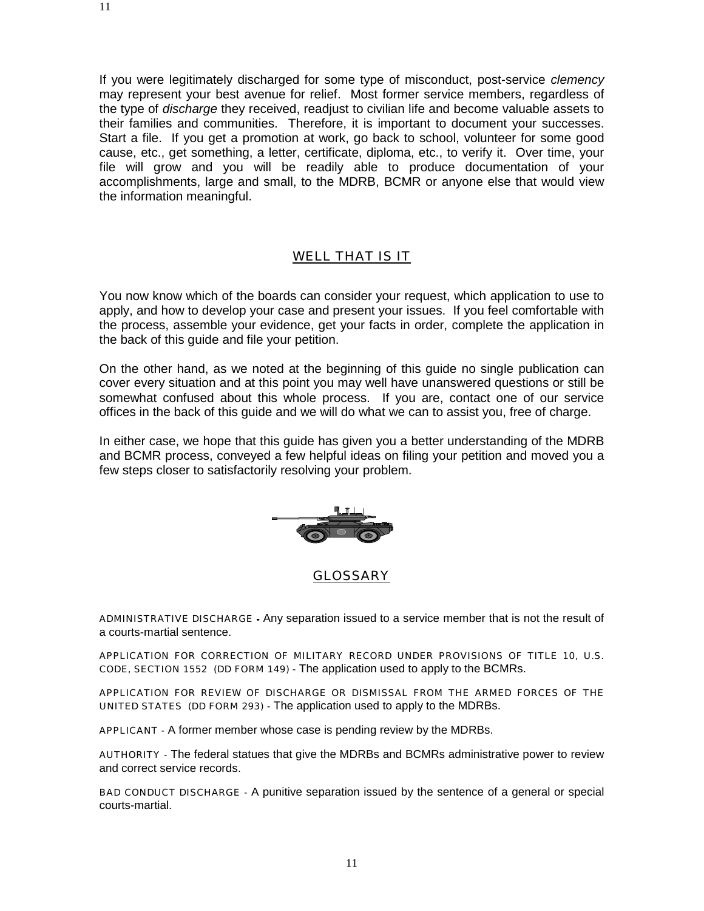If you were legitimately discharged for some type of misconduct, post-service *clemency* may represent your best avenue for relief. Most former service members, regardless of the type of *discharge* they received, readjust to civilian life and become valuable assets to their families and communities. Therefore, it is important to document your successes. Start a file. If you get a promotion at work, go back to school, volunteer for some good cause, etc., get something, a letter, certificate, diploma, etc., to verify it. Over time, your file will grow and you will be readily able to produce documentation of your accomplishments, large and small, to the MDRB, BCMR or anyone else that would view the information meaningful.

#### WELL THAT IS IT

You now know which of the boards can consider your request, which application to use to apply, and how to develop your case and present your issues. If you feel comfortable with the process, assemble your evidence, get your facts in order, complete the application in the back of this guide and file your petition.

On the other hand, as we noted at the beginning of this guide no single publication can cover every situation and at this point you may well have unanswered questions or still be somewhat confused about this whole process. If you are, contact one of our service offices in the back of this guide and we will do what we can to assist you, free of charge.

In either case, we hope that this guide has given you a better understanding of the MDRB and BCMR process, conveyed a few helpful ideas on filing your petition and moved you a few steps closer to satisfactorily resolving your problem.



ADMINISTRATIVE DISCHARGE - Any separation issued to a service member that is not the result of a courts-martial sentence.

APPLICATION FOR CORRECTION OF MILITARY RECORD UNDER PROVISIONS OF TITLE 10, U.S. CODE, SECTION 1552 (DD FORM 149) - The application used to apply to the BCMRs.

APPLICATION FOR REVIEW OF DISCHARGE OR DISMISSAL FROM THE ARMED FORCES OF THE UNITED STATES (DD FORM 293) - The application used to apply to the MDRBs.

APPLICANT - A former member whose case is pending review by the MDRBs.

AUTHORITY - The federal statues that give the MDRBs and BCMRs administrative power to review and correct service records.

BAD CONDUCT DISCHARGE - A punitive separation issued by the sentence of a general or special courts-martial.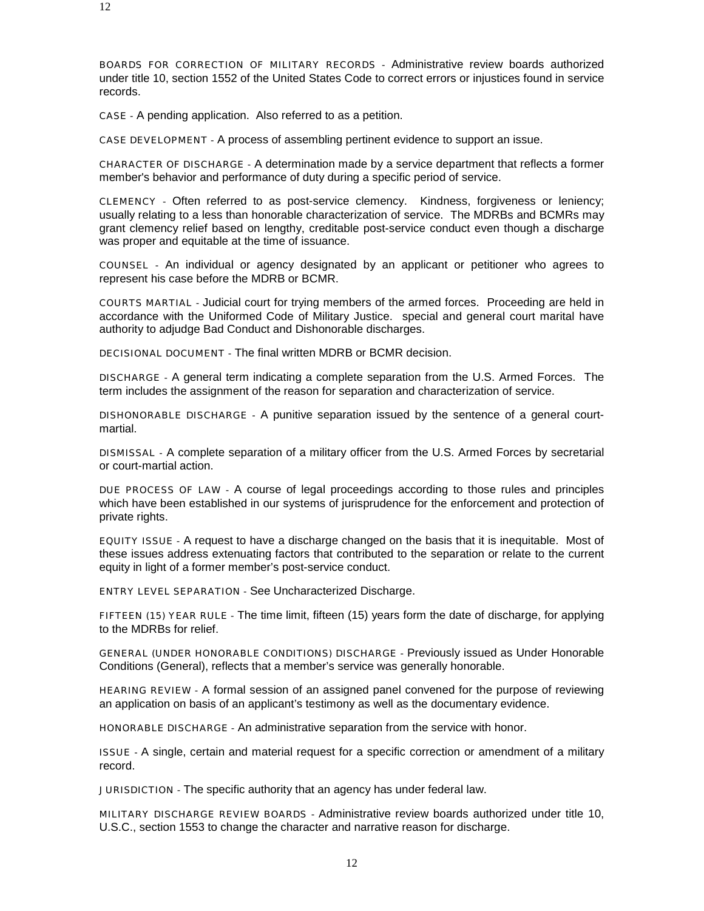BOARDS FOR CORRECTION OF MILITARY RECORDS - Administrative review boards authorized under title 10, section 1552 of the United States Code to correct errors or injustices found in service records.

CASE - A pending application. Also referred to as a petition.

CASE DEVELOPMENT - A process of assembling pertinent evidence to support an issue.

CHARACTER OF DISCHARGE - A determination made by a service department that reflects a former member's behavior and performance of duty during a specific period of service.

CLEMENCY - Often referred to as post-service clemency. Kindness, forgiveness or leniency; usually relating to a less than honorable characterization of service. The MDRBs and BCMRs may grant clemency relief based on lengthy, creditable post-service conduct even though a discharge was proper and equitable at the time of issuance.

COUNSEL - An individual or agency designated by an applicant or petitioner who agrees to represent his case before the MDRB or BCMR.

COURTS MARTIAL - Judicial court for trying members of the armed forces. Proceeding are held in accordance with the Uniformed Code of Military Justice. special and general court marital have authority to adjudge Bad Conduct and Dishonorable discharges.

DECISIONAL DOCUMENT - The final written MDRB or BCMR decision.

DISCHARGE - A general term indicating a complete separation from the U.S. Armed Forces. The term includes the assignment of the reason for separation and characterization of service.

DISHONORABLE DISCHARGE - A punitive separation issued by the sentence of a general courtmartial.

DISMISSAL - A complete separation of a military officer from the U.S. Armed Forces by secretarial or court-martial action.

DUE PROCESS OF LAW - A course of legal proceedings according to those rules and principles which have been established in our systems of jurisprudence for the enforcement and protection of private rights.

EQUITY ISSUE - A request to have a discharge changed on the basis that it is inequitable. Most of these issues address extenuating factors that contributed to the separation or relate to the current equity in light of a former member's post-service conduct.

ENTRY LEVEL SEPARATION - See Uncharacterized Discharge.

FIFTEEN (15) YEAR RULE - The time limit, fifteen (15) years form the date of discharge, for applying to the MDRBs for relief.

GENERAL (UNDER HONORABLE CONDITIONS) DISCHARGE - Previously issued as Under Honorable Conditions (General), reflects that a member's service was generally honorable.

HEARING REVIEW - A formal session of an assigned panel convened for the purpose of reviewing an application on basis of an applicant's testimony as well as the documentary evidence.

HONORABLE DISCHARGE - An administrative separation from the service with honor.

ISSUE - A single, certain and material request for a specific correction or amendment of a military record.

JURISDICTION - The specific authority that an agency has under federal law.

MILITARY DISCHARGE REVIEW BOARDS - Administrative review boards authorized under title 10, U.S.C., section 1553 to change the character and narrative reason for discharge.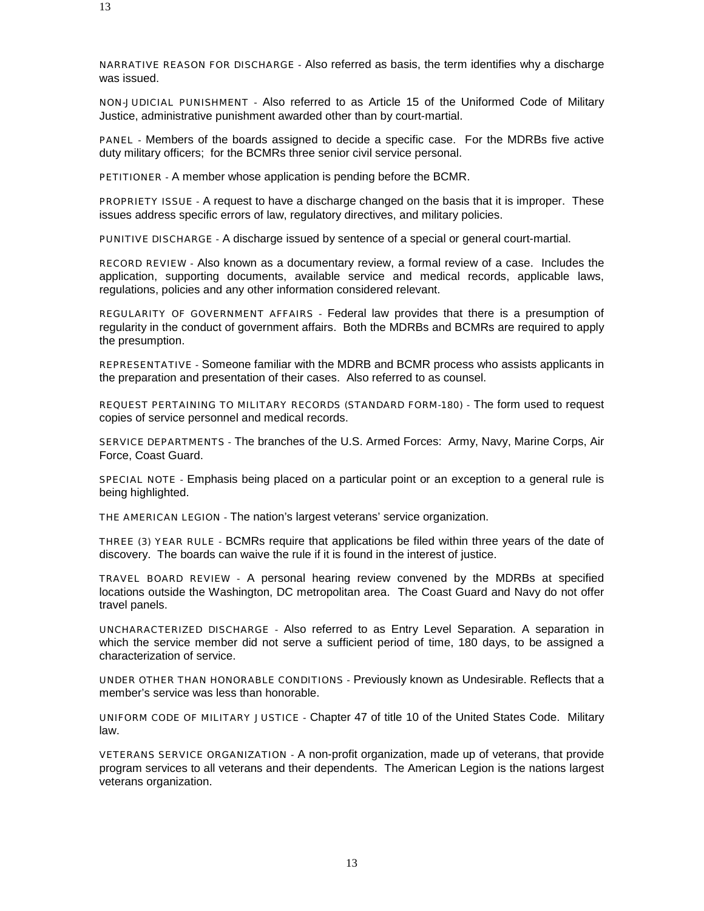NARRATIVE REASON FOR DISCHARGE - Also referred as basis, the term identifies why a discharge was issued.

NON-JUDICIAL PUNISHMENT - Also referred to as Article 15 of the Uniformed Code of Military Justice, administrative punishment awarded other than by court-martial.

PANEL - Members of the boards assigned to decide a specific case. For the MDRBs five active duty military officers; for the BCMRs three senior civil service personal.

PETITIONER - A member whose application is pending before the BCMR.

PROPRIETY ISSUE - A request to have a discharge changed on the basis that it is improper. These issues address specific errors of law, regulatory directives, and military policies.

PUNITIVE DISCHARGE - A discharge issued by sentence of a special or general court-martial.

RECORD REVIEW - Also known as a documentary review, a formal review of a case. Includes the application, supporting documents, available service and medical records, applicable laws, regulations, policies and any other information considered relevant.

REGULARITY OF GOVERNMENT AFFAIRS - Federal law provides that there is a presumption of regularity in the conduct of government affairs. Both the MDRBs and BCMRs are required to apply the presumption.

REPRESENTATIVE - Someone familiar with the MDRB and BCMR process who assists applicants in the preparation and presentation of their cases. Also referred to as counsel.

REQUEST PERTAINING TO MILITARY RECORDS (STANDARD FORM-180) - The form used to request copies of service personnel and medical records.

SERVICE DEPARTMENTS - The branches of the U.S. Armed Forces: Army, Navy, Marine Corps, Air Force, Coast Guard.

SPECIAL NOTE - Emphasis being placed on a particular point or an exception to a general rule is being highlighted.

THE AMERICAN LEGION - The nation's largest veterans' service organization.

THREE (3) YEAR RULE - BCMRs require that applications be filed within three years of the date of discovery. The boards can waive the rule if it is found in the interest of justice.

TRAVEL BOARD REVIEW - A personal hearing review convened by the MDRBs at specified locations outside the Washington, DC metropolitan area. The Coast Guard and Navy do not offer travel panels.

UNCHARACTERIZED DISCHARGE - Also referred to as Entry Level Separation. A separation in which the service member did not serve a sufficient period of time, 180 days, to be assigned a characterization of service.

UNDER OTHER THAN HONORABLE CONDITIONS - Previously known as Undesirable. Reflects that a member's service was less than honorable.

UNIFORM CODE OF MILITARY JUSTICE - Chapter 47 of title 10 of the United States Code. Military law.

VETERANS SERVICE ORGANIZATION - A non-profit organization, made up of veterans, that provide program services to all veterans and their dependents. The American Legion is the nations largest veterans organization.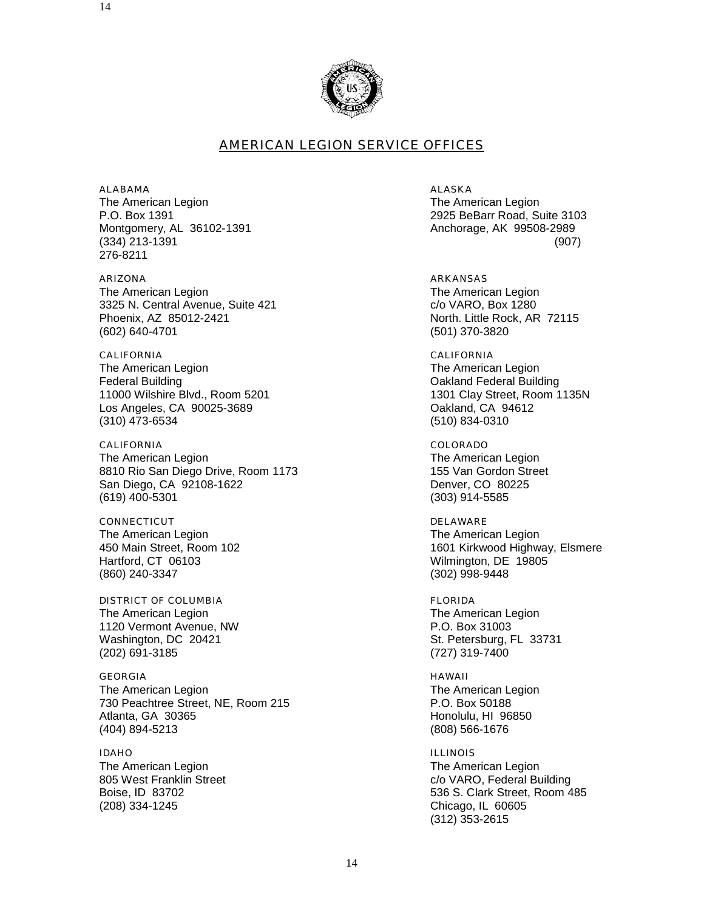

#### AMERICAN LEGION SERVICE OFFICES

ALABAMA ALASKA The American Legion The American Legion The American Legion Montgomery, AL 36102-1391 **Anchorage, AK 99508-2989** 276-8211

ARIZONA ARKANSAS The American Legion<br>
3325 N. Central Avenue, Suite 421 (and the Colombian Colombia Colombia Colombia Colombia Colombia Colombia Co 3325 N. Central Avenue, Suite 421 Phoenix, AZ 85012-2421 North. Little Rock, AR 72115 (602) 640-4701 (501) 370-3820

CALIFORNIA CALIFORNIA The American Legion The American Legion The American Legion **Federal Building Care and Team of the Care of Care and Team of Team of Team of Team of Team of Team of Team of Team of Team of Team of Team of Team of Team of Team of Team of Team of Team of Team of Team of Team of Team o** 11000 Wilshire Blvd., Room 5201 1301 Clay Street, Room 1135N Los Angeles, CA 90025-3689 **CA 1998 COACIDATE CA 94612** Oakland, CA 94612 (310) 473-6534 (510) 834-0310

CALIFORNIA COLORADO The American Legion The American Legion 8810 Rio San Diego Drive, Room 1173 155 Van Gordon Street San Diego, CA 92108-1622 Denver, CO 80225 (619) 400-5301 (303) 914-5585

CONNECTICUT CONNECTION CONNECTICUT The American Legion The American Legion Hartford, CT 06103 Wilmington, DE 19805 (860) 240-3347 (302) 998-9448

DISTRICT OF COLUMBIA FLORIDA The American Legion **The American Legion** The American Legion 1120 Vermont Avenue, NW P.O. Box 31003 Washington, DC 20421 St. Petersburg, FL 33731 (202) 691-3185 (727) 319-7400

GEORGIA HAWAII The American Legion The American Legion The American Legion 730 Peachtree Street, NE, Room 215 P.O. Box 50188 Atlanta, GA 30365 **Honolulu**, HI 96850 (404) 894-5213 (808) 566-1676

IDAHO ILLINOIS The American Legion<br>
805 West Franklin Street<br>
805 West Franklin Street<br>
The American Legion<br>
2005 West Franklin Street (208) 334-1245 Chicago, IL 60605

P.O. Box 1391 2925 BeBarr Road, Suite 3103 (334) 213-1391 (907)

450 Main Street, Room 102 1601 Kirkwood Highway, Elsmere

c/o VARO, Federal Building Boise, ID 83702 **536 S. Clark Street, Room 485** (312) 353-2615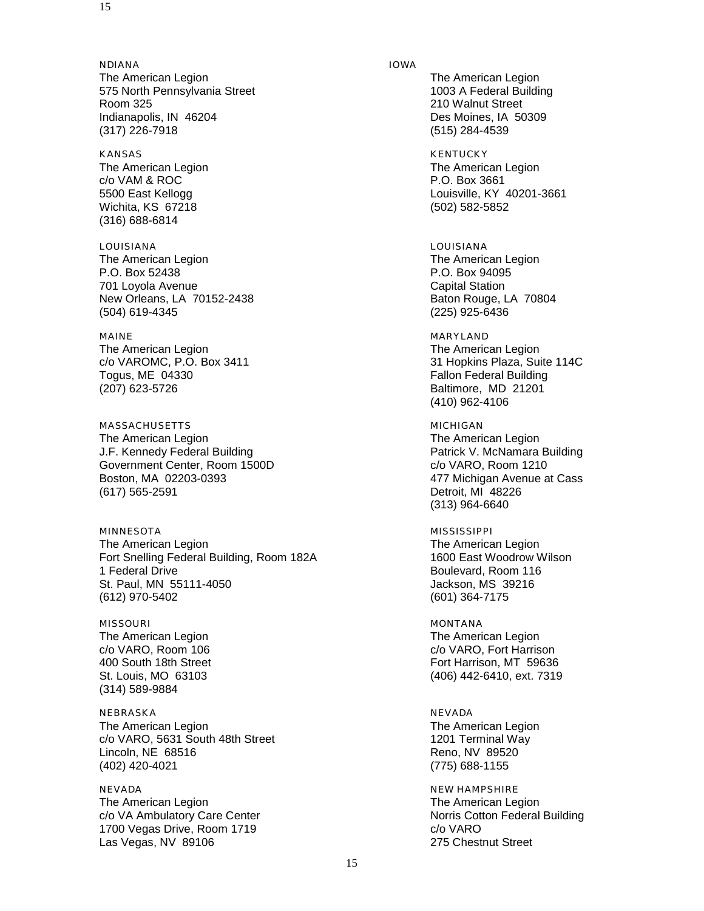NDIANA IOWA The American Legion **The American Legion** The American Legion 575 North Pennsylvania Street 1003 A Federal Building Room 325 210 Walnut Street Indianapolis, IN 46204 **Des Moines, IA 50309** (317) 226-7918 (515) 284-4539

KANSAS KENTUCKY The American Legion c/o VAM & ROC P.O. Box 3661 Wichita, KS 67218 (502) 582-5852 (316) 688-6814

LOUISIANA LOUISIANA The American Legion The American Legion The American Legion P.O. Box 52438 P.O. Box 94095 701 Loyola Avenue Capital Station New Orleans, LA 70152-2438 Baton Rouge, LA 70804 (504) 619-4345 (225) 925-6436

MAINE MARYLAND The American Legion The American Legion Togus, ME 04330 **Fallon Federal Building** (207) 623-5726 Baltimore, MD 21201

MASSACHUSETTS MICHIGAN The American Legion The American Legion The American Legion J.F. Kennedy Federal Building **Patrick V. McNamara Building** Patrick V. McNamara Building Government Center, Room 1500D c/o VARO, Room 1210 Boston, MA 02203-0393 477 Michigan Avenue at Cass (617) 565-2591 Detroit, MI 48226

MINNESOTA MISSISSIPPI The American Legion<br>
Fort Snelling Federal Building. Room 182A<br>
The American Legion<br>
1600 East Woodrow Wilson Fort Snelling Federal Building, Room 182A 1 Federal Drive **Boulevard, Room 116** St. Paul, MN 55111-4050 **Jackson, MS** 39216 (612) 970-5402 (601) 364-7175

MISSOURI NONTANA NEWSTAPH MONTANA The American Legion The American Legion (314) 589-9884

NEBRASKA NEVADA The American Legion **The American Legion** The American Legion c/o VARO, 5631 South 48th Street 1201 Terminal Way Lincoln, NE 68516 **Reno, NV 89520** (402) 420-4021 (775) 688-1155

NEVADA NEW HAMPSHIRE The American Legion<br>
c/o VA Ambulatory Care Center
The American Legion

c/o VA Ambulatory Care Center
The American Legion

c/o VA Ambulatory Care Center

The American Legion

The American Legion c/o VA Ambulatory Care Center 1700 Vegas Drive, Room 1719 c/o VARO Las Vegas, NV 89106 275 Chestnut Street

5500 East Kellogg Louisville, KY 40201-3661

c/o VAROMC, P.O. Box 3411 31 Hopkins Plaza, Suite 114C (410) 962-4106

(313) 964-6640

c/o VARO, Room 106 c/o VARO, Fort Harrison 400 South 18th Street Fort Harrison, MT 59636 St. Louis, MO 63103 (406) 442-6410, ext. 7319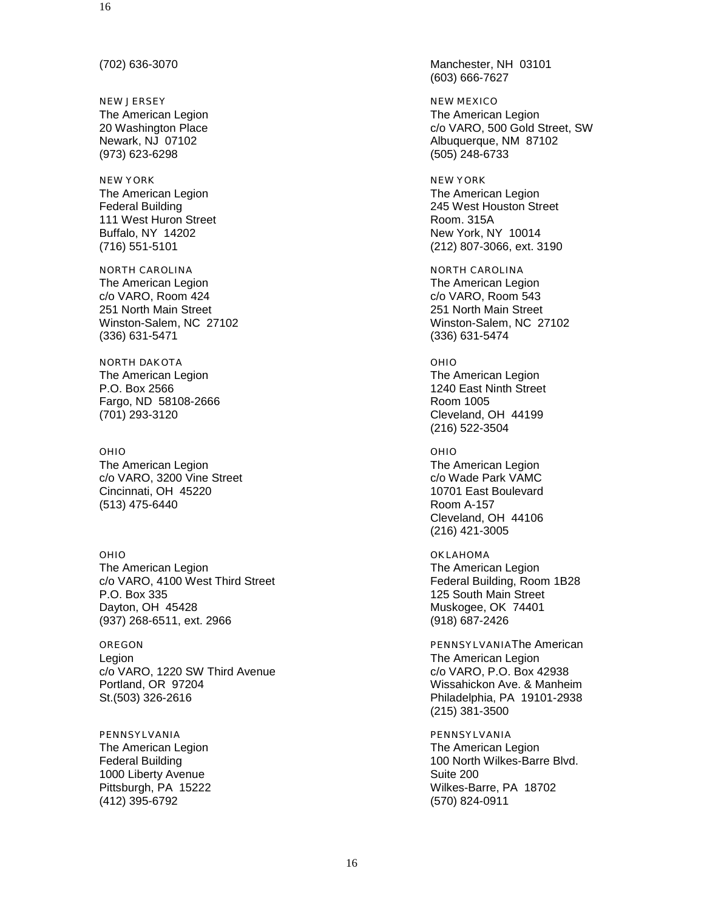NEW JERSEY NEW MEXICO The American Legion The American Legion The American Legion (973) 623-6298 (505) 248-6733

## NEW YORK NEW YORK AND THE RELEASE IN THE RELEASE IN THE RELEASE IN THE RELEASE IN THE RELEASE IN THE RELEASE I The American Legion The American Legion 111 West Huron Street **Room.** 315A Buffalo, NY 14202 **New York, NY 10014**

NORTH CAROLINA NORTH CAROLINA The American Legion The American Legion The American Legion c/o VARO, Room 424 c/o VARO, Room 543 251 North Main Street 251 North Main Street (336) 631-5471 (336) 631-5474

NORTH DAKOTA **OHIO** The American Legion **The American Legion** The American Legion P.O. Box 2566 1240 East Ninth Street Fargo, ND 58108-2666 Room 1005 (701) 293-3120 Cleveland, OH 44199

The American Legion The American Legion c/o VARO, 3200 Vine Street compared control compared control control control control control control control control control control control control control control control control control control control control control c Cincinnati, OH 45220 10701 East Boulevard (513) 475-6440 Room A-157

The American Legion The American Legion c/o VARO, 4100 West Third Street Federal Building, Room 1B28 P.O. Box 335 125 South Main Street Dayton, OH 45428 Muskogee, OK 74401 (937) 268-6511, ext. 2966

Legion **The American Legion The American Legion** c/o VARO, 1220 SW Third Avenue c/o VARO, P.O. Box 42938 Portland, OR 97204 Wissahickon Ave. & Manheim St.(503) 326-2616 Philadelphia, PA 19101-2938

PENNSYLVANIA PENNSYLVANIA The American Legion The American Legion<br>
Federal Building The American Legion<br>
The American Legion<br>
The American Legion<br>
The American Legion 1000 Liberty Avenue **Suite 200** Suite 200 (412) 395-6792 (570) 824-0911

(702) 636-3070 Manchester, NH 03101 (603) 666-7627

20 Washington Place **c/o VARO, 500 Gold Street, SW** Newark, NJ 07102 **Albuquerque, NM 87102** 

Federal Building 245 West Houston Street (716) 551-5101 (212) 807-3066, ext. 3190

Winston-Salem, NC 27102 Winston-Salem, NC 27102

(216) 522-3504

OHIO OHIO

Cleveland, OH 44106 (216) 421-3005

OHIO OKLAHOMA

OREGON PENNSYLVANIAThe American (215) 381-3500

100 North Wilkes-Barre Blvd. Pittsburgh, PA 15222 Wilkes-Barre, PA 18702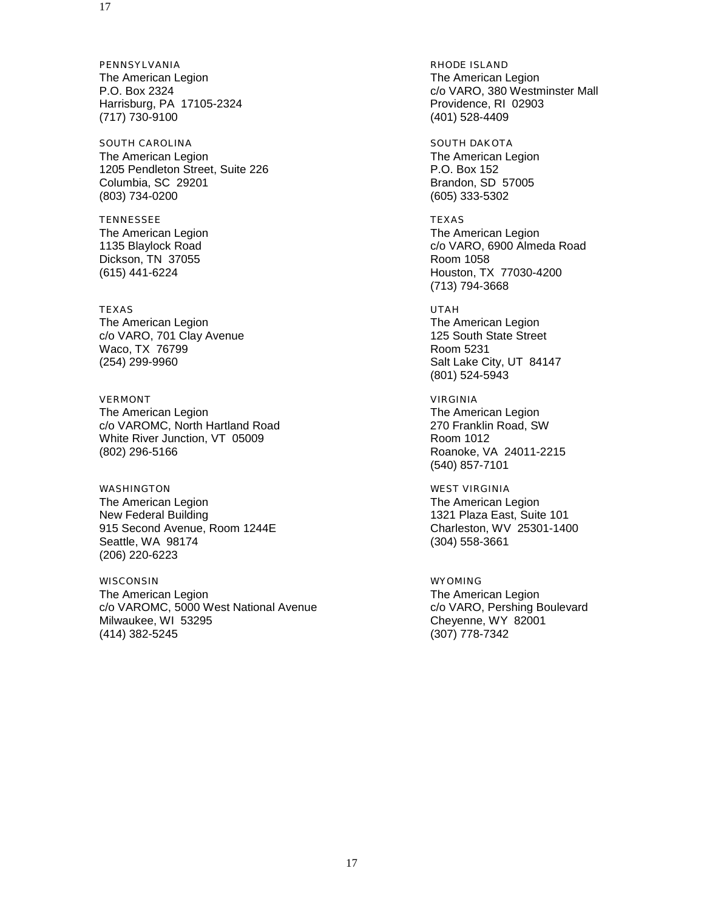PENNSYLVANIA **RHODE ISLAND** The American Legion The American Legion The American Legion Harrisburg, PA 17105-2324 Providence, RI 02903 (717) 730-9100 (401) 528-4409

SOUTH CAROLINA SOUTH DAKOTA The American Legion The American Legion The American Legion 1205 Pendleton Street, Suite 226 P.O. Box 152 Columbia, SC 29201 Brandon, SD 57005 (803) 734-0200 (605) 333-5302

TENNESSEE TEXAS Dickson, TN 37055 Room 1058

#### TEXAS UTAH The American Legion<br>
c/o VARO, 701 Clay Avenue<br>
125 South State Street c/o VARO, 701 Clay Avenue Waco, TX 76799 **Room 5231**

VERMONT VIRGINIA The American Legion The American Legion The American Legion c/o VAROMC, North Hartland Road 270 Franklin Road, SW White River Junction, VT 05009 Metal Control of the Room 1012 (802) 296-5166 Roanoke, VA 24011-2215

WASHINGTON WEST VIRGINIA The American Legion **The American Legion** The American Legion New Federal Building<br>
915 Second Avenue, Room 1244E<br>
25301-1400 915 Second Avenue, Room 1244E Seattle, WA 98174 (304) 558-3661 (206) 220-6223

WISCONSIN WYOMING The American Legion The American Legion c/o VAROMC, 5000 West National Avenue<br>
Milwaukee, WI 53295 Cheyenne, WY 82001 (414) 382-5245 (307) 778-7342

P.O. Box 2324 c/o VARO, 380 Westminster Mall

The American Legion **The American Legion** The American Legion 1135 Blaylock Road c/o VARO, 6900 Almeda Road (615) 441-6224 Houston, TX 77030-4200 (713) 794-3668

(254) 299-9960 Salt Lake City, UT 84147 (801) 524-5943

(540) 857-7101

Cheyenne, WY 82001